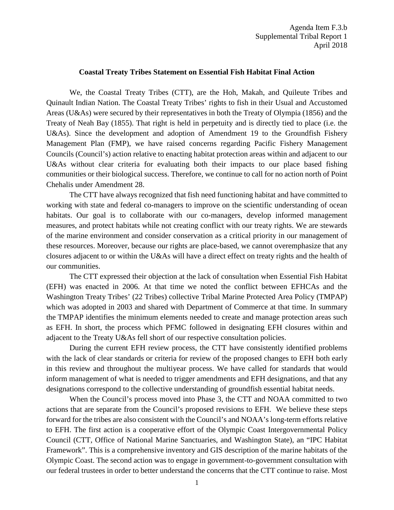## **Coastal Treaty Tribes Statement on Essential Fish Habitat Final Action**

We, the Coastal Treaty Tribes (CTT), are the Hoh, Makah, and Quileute Tribes and Quinault Indian Nation. The Coastal Treaty Tribes' rights to fish in their Usual and Accustomed Areas (U&As) were secured by their representatives in both the Treaty of Olympia (1856) and the Treaty of Neah Bay (1855). That right is held in perpetuity and is directly tied to place (i.e. the U&As). Since the development and adoption of Amendment 19 to the Groundfish Fishery Management Plan (FMP), we have raised concerns regarding Pacific Fishery Management Councils (Council's) action relative to enacting habitat protection areas within and adjacent to our U&As without clear criteria for evaluating both their impacts to our place based fishing communities or their biological success. Therefore, we continue to call for no action north of Point Chehalis under Amendment 28.

The CTT have always recognized that fish need functioning habitat and have committed to working with state and federal co-managers to improve on the scientific understanding of ocean habitats. Our goal is to collaborate with our co-managers, develop informed management measures, and protect habitats while not creating conflict with our treaty rights. We are stewards of the marine environment and consider conservation as a critical priority in our management of these resources. Moreover, because our rights are place-based, we cannot overemphasize that any closures adjacent to or within the U&As will have a direct effect on treaty rights and the health of our communities.

The CTT expressed their objection at the lack of consultation when Essential Fish Habitat (EFH) was enacted in 2006. At that time we noted the conflict between EFHCAs and the Washington Treaty Tribes' (22 Tribes) collective Tribal Marine Protected Area Policy (TMPAP) which was adopted in 2003 and shared with Department of Commerce at that time. In summary the TMPAP identifies the minimum elements needed to create and manage protection areas such as EFH. In short, the process which PFMC followed in designating EFH closures within and adjacent to the Treaty U&As fell short of our respective consultation policies.

During the current EFH review process, the CTT have consistently identified problems with the lack of clear standards or criteria for review of the proposed changes to EFH both early in this review and throughout the multiyear process. We have called for standards that would inform management of what is needed to trigger amendments and EFH designations, and that any designations correspond to the collective understanding of groundfish essential habitat needs.

When the Council's process moved into Phase 3, the CTT and NOAA committed to two actions that are separate from the Council's proposed revisions to EFH. We believe these steps forward for the tribes are also consistent with the Council's and NOAA's long-term efforts relative to EFH. The first action is a cooperative effort of the Olympic Coast Intergovernmental Policy Council (CTT, Office of National Marine Sanctuaries, and Washington State), an "IPC Habitat Framework". This is a comprehensive inventory and GIS description of the marine habitats of the Olympic Coast. The second action was to engage in government-to-government consultation with our federal trustees in order to better understand the concerns that the CTT continue to raise. Most